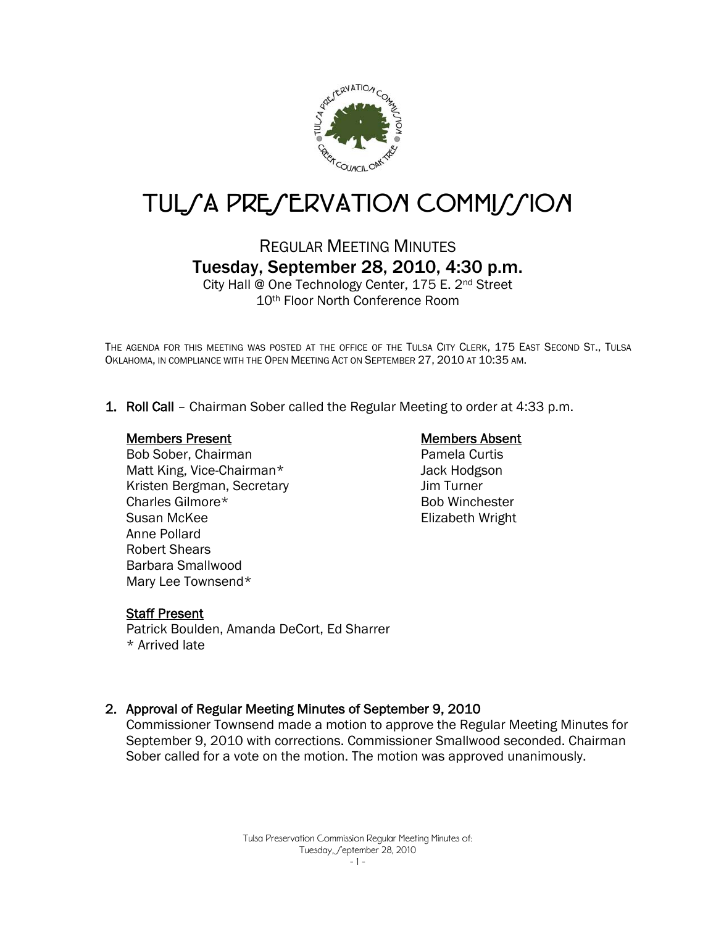

# TUL*SA PRESERVATION COMMISSION*

# REGULAR MEETING MINUTES Tuesday, September 28, 2010, 4:30 p.m.

City Hall @ One Technology Center, 175 E. 2nd Street 10th Floor North Conference Room

THE AGENDA FOR THIS MEETING WAS POSTED AT THE OFFICE OF THE TULSA CITY CLERK, 175 EAST SECOND ST., TULSA OKLAHOMA, IN COMPLIANCE WITH THE OPEN MEETING ACT ON SEPTEMBER 27, 2010 AT 10:35 AM.

1. Roll Call – Chairman Sober called the Regular Meeting to order at 4:33 p.m.

#### Members Present

Bob Sober, Chairman Matt King, Vice-Chairman\* Kristen Bergman, Secretary Charles Gilmore\* Susan McKee Anne Pollard Robert Shears Barbara Smallwood Mary Lee Townsend\*

#### Members Absent

Pamela Curtis Jack Hodgson Jim Turner Bob Winchester Elizabeth Wright

#### Staff Present

Patrick Boulden, Amanda DeCort, Ed Sharrer \* Arrived late

#### 2. Approval of Regular Meeting Minutes of September 9, 2010

Commissioner Townsend made a motion to approve the Regular Meeting Minutes for September 9, 2010 with corrections. Commissioner Smallwood seconded. Chairman Sober called for a vote on the motion. The motion was approved unanimously.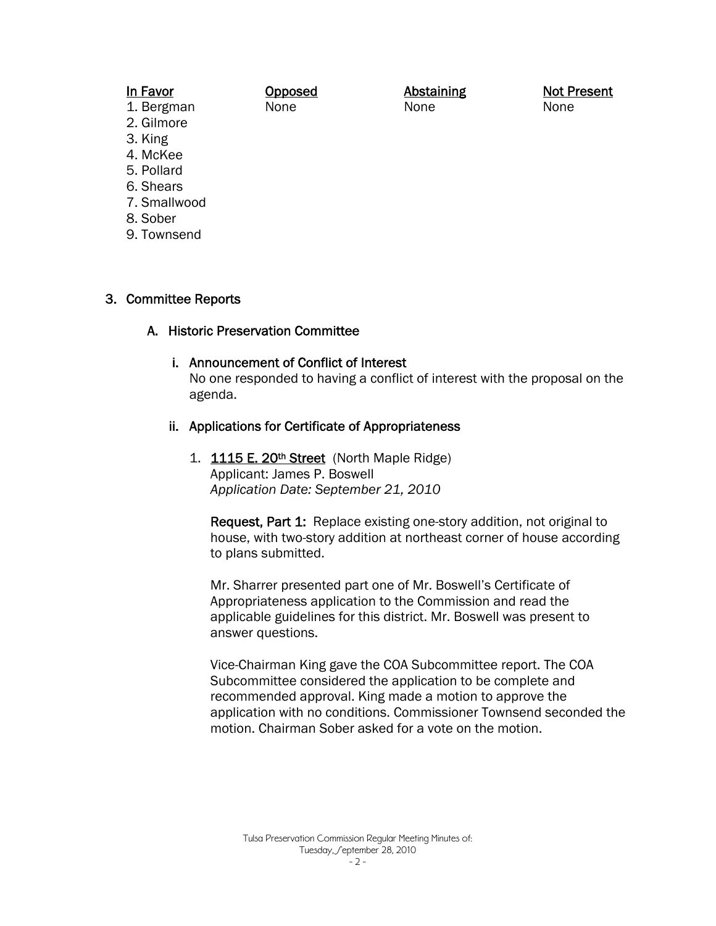#### In Favor

Opposed None

Abstaining None

Not Present None

- 1. Bergman 2. Gilmore
- 3. King
- 4. McKee
- 5. Pollard
- 6. Shears
- 7. Smallwood
- 8. Sober
- 9. Townsend

#### 3. Committee Reports

#### A. Historic Preservation Committee

#### i. Announcement of Conflict of Interest

No one responded to having a conflict of interest with the proposal on the agenda.

#### ii. Applications for Certificate of Appropriateness

1. 1115 E. 20<sup>th</sup> Street (North Maple Ridge) Applicant: James P. Boswell *Application Date: September 21, 2010* 

Request, Part 1: Replace existing one-story addition, not original to house, with two-story addition at northeast corner of house according to plans submitted.

Mr. Sharrer presented part one of Mr. Boswell's Certificate of Appropriateness application to the Commission and read the applicable guidelines for this district. Mr. Boswell was present to answer questions.

Vice-Chairman King gave the COA Subcommittee report. The COA Subcommittee considered the application to be complete and recommended approval. King made a motion to approve the application with no conditions. Commissioner Townsend seconded the motion. Chairman Sober asked for a vote on the motion.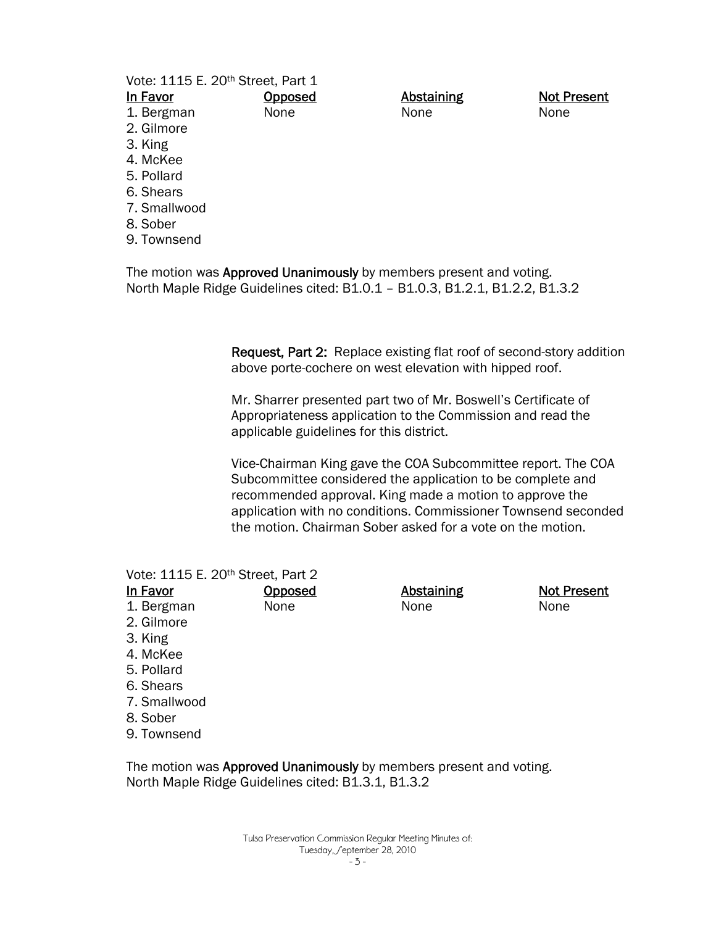Vote: 1115 E. 20th Street, Part 1

**Opposed** None

In Favor

- 1. Bergman
- 2. Gilmore
- 3. King
- 4. McKee
- 5. Pollard
- 6. Shears
- 7. Smallwood
- 8. Sober
- 9. Townsend

The motion was **Approved Unanimously** by members present and voting. North Maple Ridge Guidelines cited: B1.0.1 – B1.0.3, B1.2.1, B1.2.2, B1.3.2

> Request, Part 2: Replace existing flat roof of second-story addition above porte-cochere on west elevation with hipped roof.

**Abstaining** None

Mr. Sharrer presented part two of Mr. Boswell's Certificate of Appropriateness application to the Commission and read the applicable guidelines for this district.

Vice-Chairman King gave the COA Subcommittee report. The COA Subcommittee considered the application to be complete and recommended approval. King made a motion to approve the application with no conditions. Commissioner Townsend seconded the motion. Chairman Sober asked for a vote on the motion.

|              | Vote: 1115 E. 20 <sup>th</sup> Street, Part 2 |            |                    |
|--------------|-----------------------------------------------|------------|--------------------|
| In Favor     | Opposed                                       | Abstaining | <b>Not Present</b> |
| 1. Bergman   | None                                          | None       | None               |
| 2. Gilmore   |                                               |            |                    |
| 3. King      |                                               |            |                    |
| 4. McKee     |                                               |            |                    |
| 5. Pollard   |                                               |            |                    |
| 6. Shears    |                                               |            |                    |
| 7. Smallwood |                                               |            |                    |
|              |                                               |            |                    |

- 8. Sober
- 9. Townsend

The motion was Approved Unanimously by members present and voting. North Maple Ridge Guidelines cited: B1.3.1, B1.3.2

Not Present None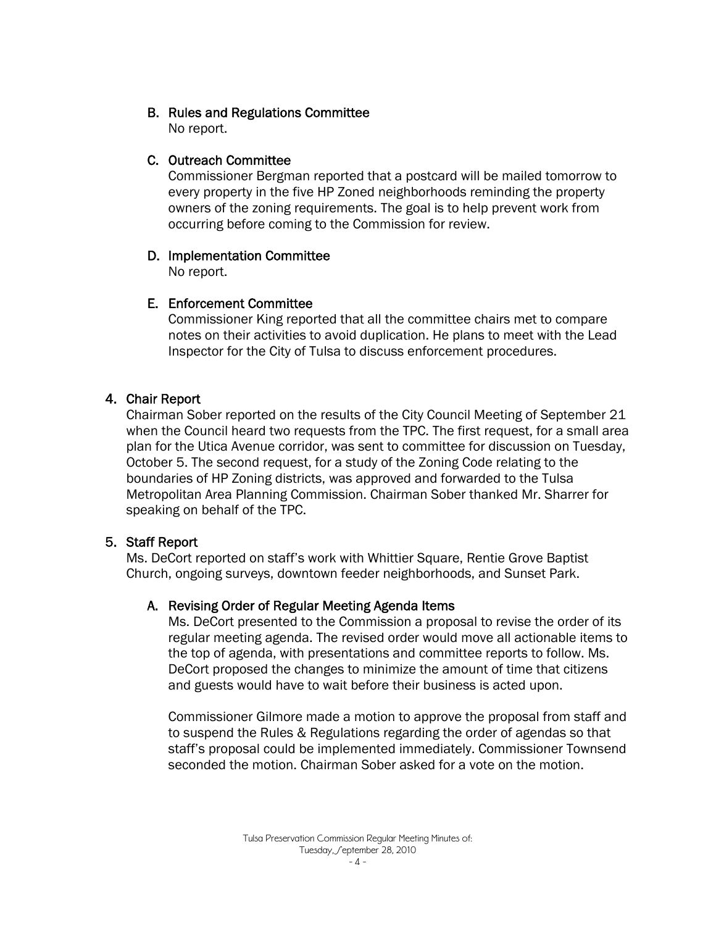## B. Rules and Regulations Committee

No report.

## C. Outreach Committee

 Commissioner Bergman reported that a postcard will be mailed tomorrow to every property in the five HP Zoned neighborhoods reminding the property owners of the zoning requirements. The goal is to help prevent work from occurring before coming to the Commission for review.

# D. Implementation Committee

No report.

# E. Enforcement Committee

 Commissioner King reported that all the committee chairs met to compare notes on their activities to avoid duplication. He plans to meet with the Lead Inspector for the City of Tulsa to discuss enforcement procedures.

# 4. Chair Report

Chairman Sober reported on the results of the City Council Meeting of September 21 when the Council heard two requests from the TPC. The first request, for a small area plan for the Utica Avenue corridor, was sent to committee for discussion on Tuesday, October 5. The second request, for a study of the Zoning Code relating to the boundaries of HP Zoning districts, was approved and forwarded to the Tulsa Metropolitan Area Planning Commission. Chairman Sober thanked Mr. Sharrer for speaking on behalf of the TPC.

# 5. Staff Report

Ms. DeCort reported on staff's work with Whittier Square, Rentie Grove Baptist Church, ongoing surveys, downtown feeder neighborhoods, and Sunset Park.

### A. Revising Order of Regular Meeting Agenda Items

Ms. DeCort presented to the Commission a proposal to revise the order of its regular meeting agenda. The revised order would move all actionable items to the top of agenda, with presentations and committee reports to follow. Ms. DeCort proposed the changes to minimize the amount of time that citizens and guests would have to wait before their business is acted upon.

Commissioner Gilmore made a motion to approve the proposal from staff and to suspend the Rules & Regulations regarding the order of agendas so that staff's proposal could be implemented immediately. Commissioner Townsend seconded the motion. Chairman Sober asked for a vote on the motion.